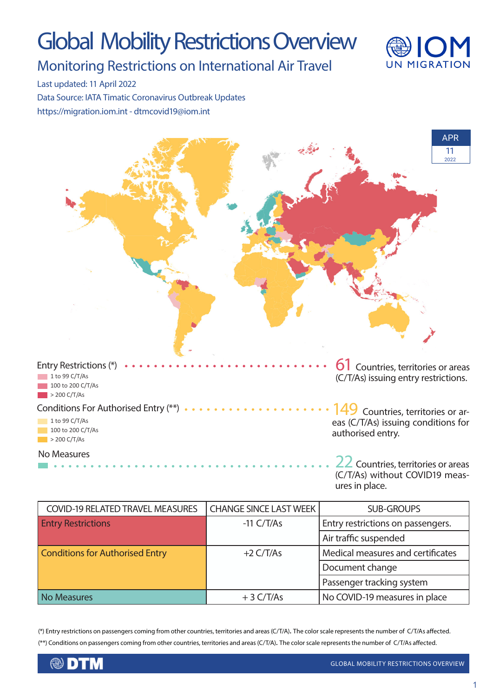# Global Mobility Restrictions Overview



Monitoring Restrictions on International Air Travel

Last updated: 11 April 2022

Data Source: IATA Timatic Coronavirus Outbreak Updates https://migration.iom.int - dtmcovid19@iom.int



(C/T/As) without COVID19 measures in place.

| <b>COVID-19 RELATED TRAVEL MEASURES</b> | <b>CHANGE SINCE LAST WEEK</b> | <b>SUB-GROUPS</b>                 |
|-----------------------------------------|-------------------------------|-----------------------------------|
| <b>Entry Restrictions</b>               | $-11 \frac{C}{T/As}$          | Entry restrictions on passengers. |
|                                         |                               | Air traffic suspended             |
| <b>Conditions for Authorised Entry</b>  | $+2 \frac{C}{T/As}$           | Medical measures and certificates |
|                                         |                               | Document change                   |
|                                         |                               | Passenger tracking system         |
| <b>No Measures</b>                      | $+3 \frac{C}{T/As}$           | No COVID-19 measures in place     |

(\*) Entry restrictions on passengers coming from other countries, territories and areas (C/T/A). The color scale represents the number of C/T/As affected. (\*\*) Conditions on passengers coming from other countries, territories and areas (C/T/A). The color scale represents the number of C/T/As affected.

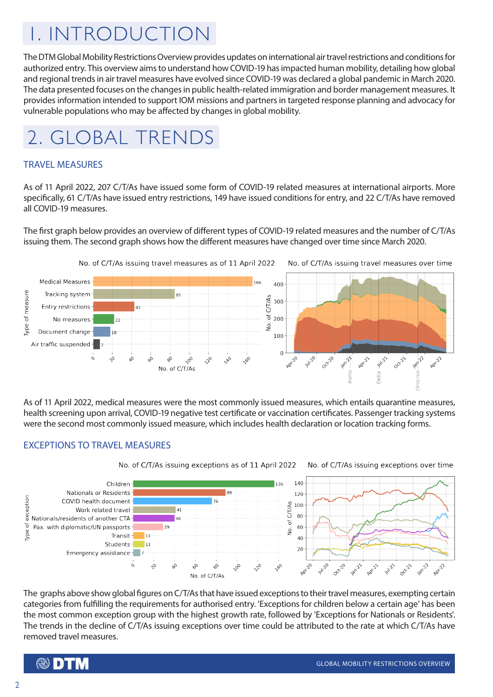## 1. INTRODUCTION

The DTM Global Mobility Restrictions Overview provides updates on international air travel restrictions and conditions for authorized entry. This overview aims to understand how COVID-19 has impacted human mobility, detailing how global and regional trends in air travel measures have evolved since COVID-19 was declared a global pandemic in March 2020. The data presented focuses on the changes in public health-related immigration and border management measures. It provides information intended to support IOM missions and partners in targeted response planning and advocacy for vulnerable populations who may be affected by changes in global mobility.



#### TRAVEL MEASURES

As of 11 April 2022, 207 C/T/As have issued some form of COVID-19 related measures at international airports. More specifically, 61 C/T/As have issued entry restrictions, 149 have issued conditions for entry, and 22 C/T/As have removed all COVID-19 measures.

The first graph below provides an overview of different types of COVID-19 related measures and the number of C/T/As issuing them. The second graph shows how the different measures have changed over time since March 2020.



As of 11 April 2022, medical measures were the most commonly issued measures, which entails quarantine measures, health screening upon arrival, COVID-19 negative test certificate or vaccination certificates. Passenger tracking systems were the second most commonly issued measure, which includes health declaration or location tracking forms.

#### EXCEPTIONS TO TRAVEL MEASURES



The graphs above show global figures on C/T/As that have issued exceptions to their travel measures, exempting certain categories from fulfilling the requirements for authorised entry. 'Exceptions for children below a certain age' has been the most common exception group with the highest growth rate, followed by 'Exceptions for Nationals or Residents'. The trends in the decline of C/T/As issuing exceptions over time could be attributed to the rate at which C/T/As have removed travel measures.